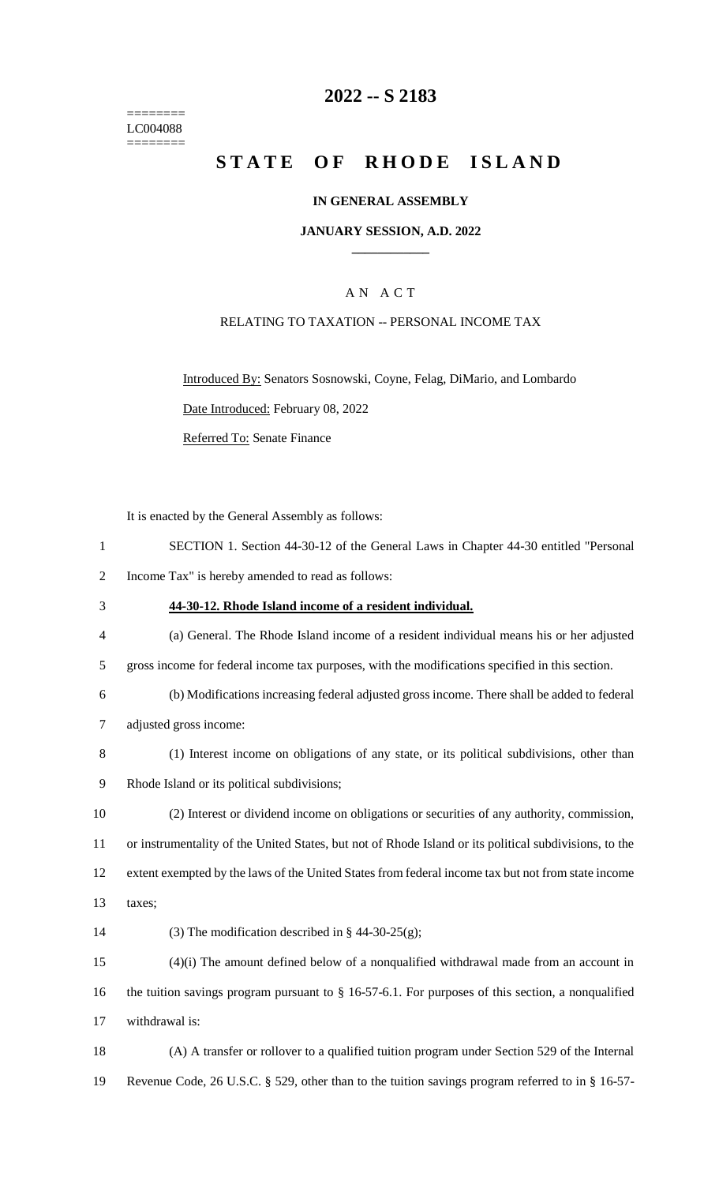======== LC004088  $=$ 

## **2022 -- S 2183**

# **STATE OF RHODE ISLAND**

### **IN GENERAL ASSEMBLY**

#### **JANUARY SESSION, A.D. 2022 \_\_\_\_\_\_\_\_\_\_\_\_**

## A N A C T

### RELATING TO TAXATION -- PERSONAL INCOME TAX

Introduced By: Senators Sosnowski, Coyne, Felag, DiMario, and Lombardo Date Introduced: February 08, 2022 Referred To: Senate Finance

It is enacted by the General Assembly as follows:

| $\mathbf{1}$   | SECTION 1. Section 44-30-12 of the General Laws in Chapter 44-30 entitled "Personal                    |
|----------------|--------------------------------------------------------------------------------------------------------|
| $\overline{2}$ | Income Tax" is hereby amended to read as follows:                                                      |
| 3              | 44-30-12. Rhode Island income of a resident individual.                                                |
| $\overline{4}$ | (a) General. The Rhode Island income of a resident individual means his or her adjusted                |
| 5              | gross income for federal income tax purposes, with the modifications specified in this section.        |
| 6              | (b) Modifications increasing federal adjusted gross income. There shall be added to federal            |
| 7              | adjusted gross income:                                                                                 |
| 8              | (1) Interest income on obligations of any state, or its political subdivisions, other than             |
| 9              | Rhode Island or its political subdivisions;                                                            |
| 10             | (2) Interest or dividend income on obligations or securities of any authority, commission,             |
| 11             | or instrumentality of the United States, but not of Rhode Island or its political subdivisions, to the |
| 12             | extent exempted by the laws of the United States from federal income tax but not from state income     |
| 13             | taxes;                                                                                                 |
| 14             | (3) The modification described in § 44-30-25(g);                                                       |
| 15             | $(4)(i)$ The amount defined below of a nonqualified withdrawal made from an account in                 |
| 16             | the tuition savings program pursuant to $\S$ 16-57-6.1. For purposes of this section, a nonqualified   |
| 17             | withdrawal is:                                                                                         |
| 18             | (A) A transfer or rollover to a qualified tuition program under Section 529 of the Internal            |
| 19             | Revenue Code, 26 U.S.C. § 529, other than to the tuition savings program referred to in § 16-57-       |
|                |                                                                                                        |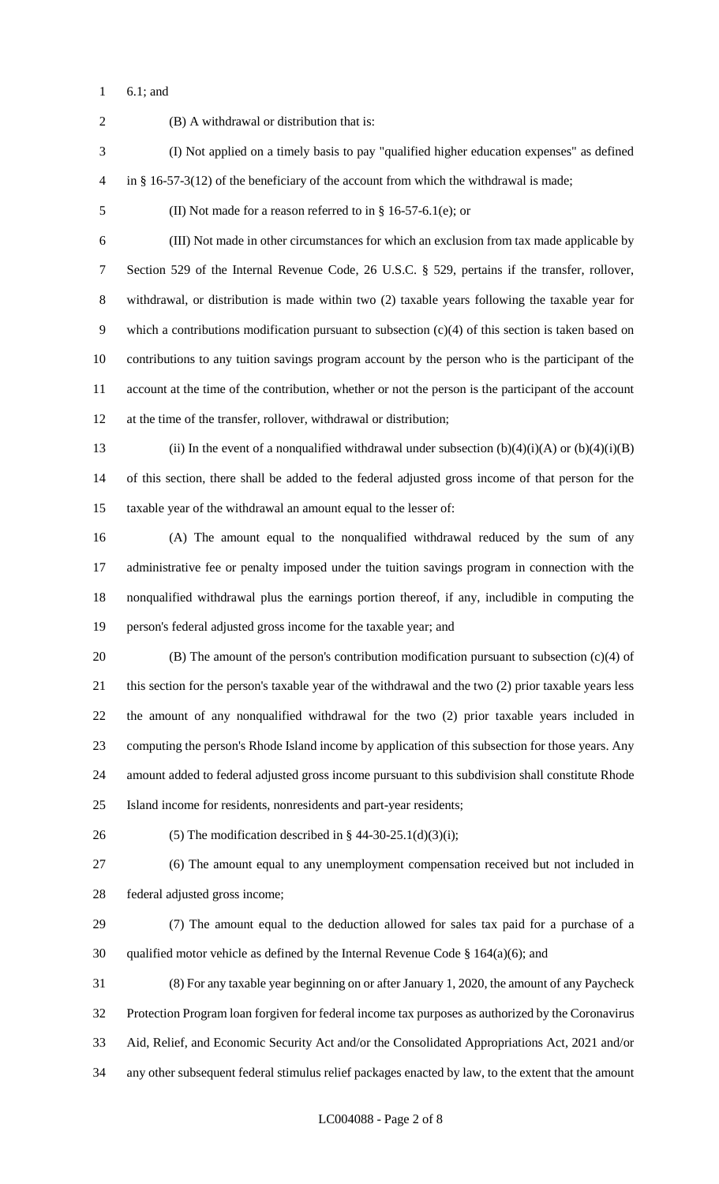6.1; and

 (B) A withdrawal or distribution that is: (I) Not applied on a timely basis to pay "qualified higher education expenses" as defined in § 16-57-3(12) of the beneficiary of the account from which the withdrawal is made; (II) Not made for a reason referred to in § 16-57-6.1(e); or (III) Not made in other circumstances for which an exclusion from tax made applicable by Section 529 of the Internal Revenue Code, 26 U.S.C. § 529, pertains if the transfer, rollover, withdrawal, or distribution is made within two (2) taxable years following the taxable year for which a contributions modification pursuant to subsection (c)(4) of this section is taken based on contributions to any tuition savings program account by the person who is the participant of the account at the time of the contribution, whether or not the person is the participant of the account at the time of the transfer, rollover, withdrawal or distribution; 13 (ii) In the event of a nonqualified withdrawal under subsection  $(b)(4)(i)(A)$  or  $(b)(4)(i)(B)$  of this section, there shall be added to the federal adjusted gross income of that person for the taxable year of the withdrawal an amount equal to the lesser of: (A) The amount equal to the nonqualified withdrawal reduced by the sum of any administrative fee or penalty imposed under the tuition savings program in connection with the nonqualified withdrawal plus the earnings portion thereof, if any, includible in computing the person's federal adjusted gross income for the taxable year; and (B) The amount of the person's contribution modification pursuant to subsection (c)(4) of this section for the person's taxable year of the withdrawal and the two (2) prior taxable years less the amount of any nonqualified withdrawal for the two (2) prior taxable years included in computing the person's Rhode Island income by application of this subsection for those years. Any amount added to federal adjusted gross income pursuant to this subdivision shall constitute Rhode Island income for residents, nonresidents and part-year residents; 26 (5) The modification described in  $\S$  44-30-25.1(d)(3)(i); (6) The amount equal to any unemployment compensation received but not included in federal adjusted gross income; (7) The amount equal to the deduction allowed for sales tax paid for a purchase of a 30 qualified motor vehicle as defined by the Internal Revenue Code  $\S$  164(a)(6); and (8) For any taxable year beginning on or after January 1, 2020, the amount of any Paycheck Protection Program loan forgiven for federal income tax purposes as authorized by the Coronavirus Aid, Relief, and Economic Security Act and/or the Consolidated Appropriations Act, 2021 and/or any other subsequent federal stimulus relief packages enacted by law, to the extent that the amount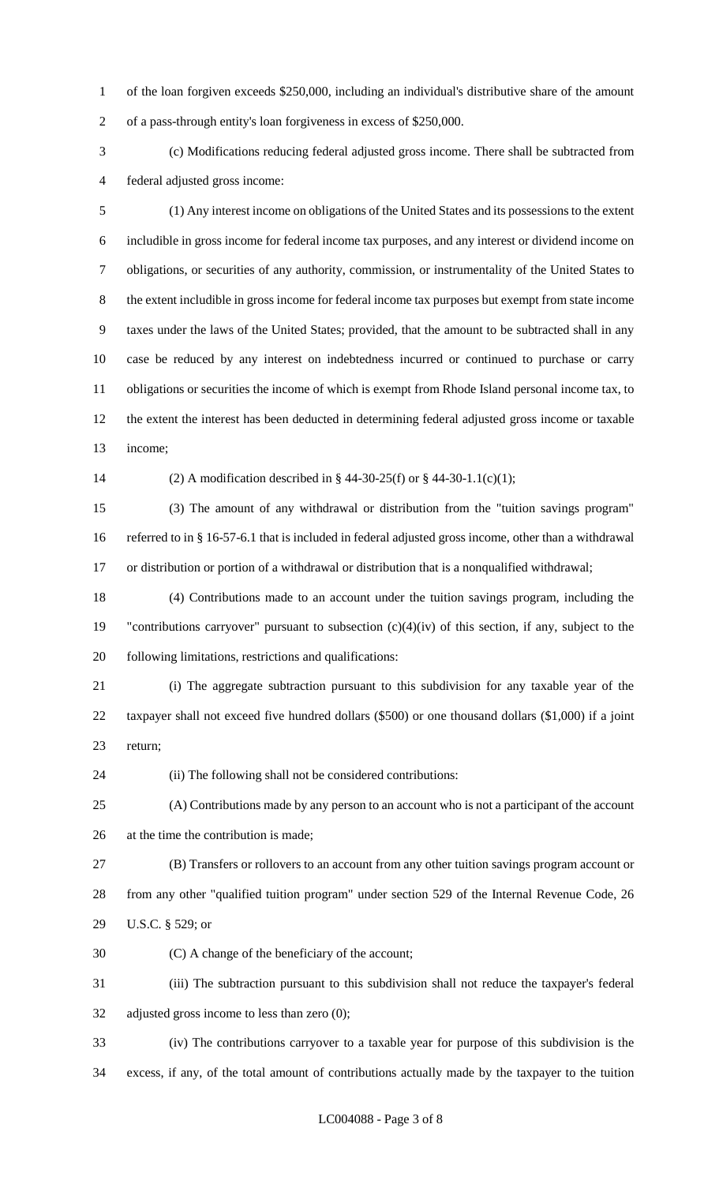of the loan forgiven exceeds \$250,000, including an individual's distributive share of the amount of a pass-through entity's loan forgiveness in excess of \$250,000.

 (c) Modifications reducing federal adjusted gross income. There shall be subtracted from federal adjusted gross income:

 (1) Any interest income on obligations of the United States and its possessions to the extent includible in gross income for federal income tax purposes, and any interest or dividend income on obligations, or securities of any authority, commission, or instrumentality of the United States to the extent includible in gross income for federal income tax purposes but exempt from state income taxes under the laws of the United States; provided, that the amount to be subtracted shall in any case be reduced by any interest on indebtedness incurred or continued to purchase or carry obligations or securities the income of which is exempt from Rhode Island personal income tax, to the extent the interest has been deducted in determining federal adjusted gross income or taxable income;

(2) A modification described in § 44-30-25(f) or § 44-30-1.1(c)(1);

 (3) The amount of any withdrawal or distribution from the "tuition savings program" referred to in § 16-57-6.1 that is included in federal adjusted gross income, other than a withdrawal or distribution or portion of a withdrawal or distribution that is a nonqualified withdrawal;

 (4) Contributions made to an account under the tuition savings program, including the "contributions carryover" pursuant to subsection (c)(4)(iv) of this section, if any, subject to the following limitations, restrictions and qualifications:

 (i) The aggregate subtraction pursuant to this subdivision for any taxable year of the taxpayer shall not exceed five hundred dollars (\$500) or one thousand dollars (\$1,000) if a joint return;

(ii) The following shall not be considered contributions:

 (A) Contributions made by any person to an account who is not a participant of the account at the time the contribution is made;

 (B) Transfers or rollovers to an account from any other tuition savings program account or from any other "qualified tuition program" under section 529 of the Internal Revenue Code, 26 U.S.C. § 529; or

(C) A change of the beneficiary of the account;

 (iii) The subtraction pursuant to this subdivision shall not reduce the taxpayer's federal adjusted gross income to less than zero (0);

 (iv) The contributions carryover to a taxable year for purpose of this subdivision is the excess, if any, of the total amount of contributions actually made by the taxpayer to the tuition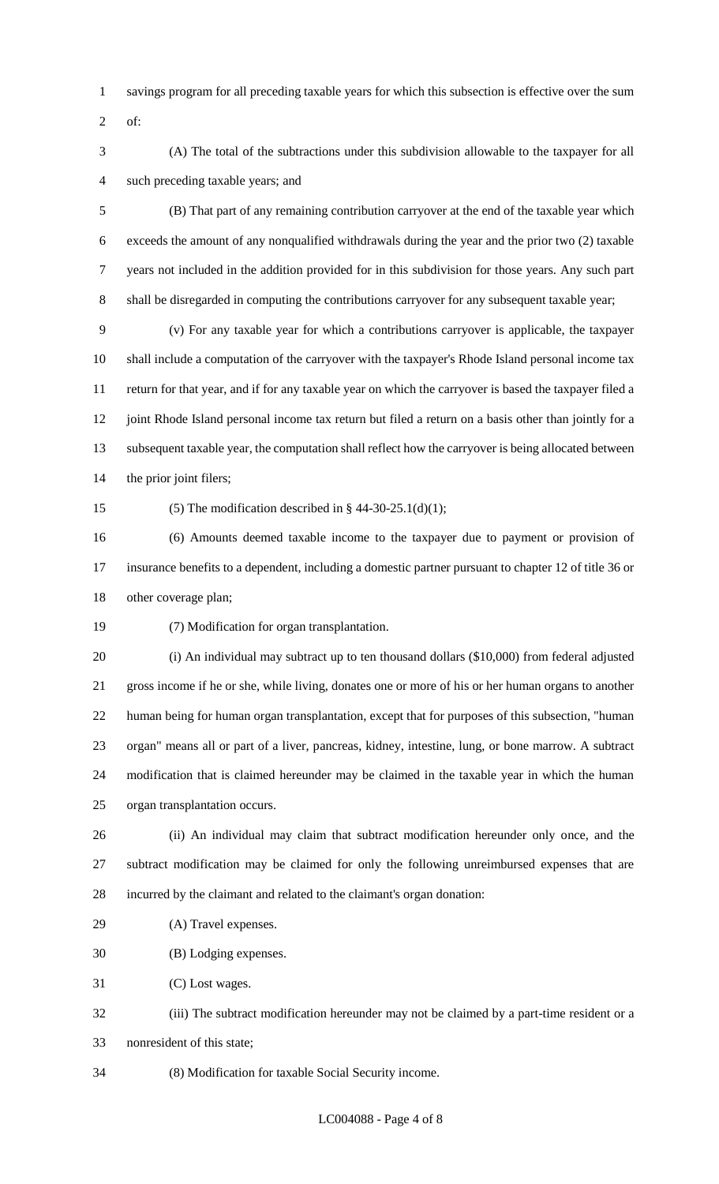- savings program for all preceding taxable years for which this subsection is effective over the sum
- of:
- (A) The total of the subtractions under this subdivision allowable to the taxpayer for all such preceding taxable years; and

 (B) That part of any remaining contribution carryover at the end of the taxable year which exceeds the amount of any nonqualified withdrawals during the year and the prior two (2) taxable years not included in the addition provided for in this subdivision for those years. Any such part shall be disregarded in computing the contributions carryover for any subsequent taxable year;

 (v) For any taxable year for which a contributions carryover is applicable, the taxpayer shall include a computation of the carryover with the taxpayer's Rhode Island personal income tax return for that year, and if for any taxable year on which the carryover is based the taxpayer filed a 12 joint Rhode Island personal income tax return but filed a return on a basis other than jointly for a subsequent taxable year, the computation shall reflect how the carryover is being allocated between the prior joint filers;

15 (5) The modification described in  $\S$  44-30-25.1(d)(1);

 (6) Amounts deemed taxable income to the taxpayer due to payment or provision of insurance benefits to a dependent, including a domestic partner pursuant to chapter 12 of title 36 or other coverage plan;

(7) Modification for organ transplantation.

 (i) An individual may subtract up to ten thousand dollars (\$10,000) from federal adjusted gross income if he or she, while living, donates one or more of his or her human organs to another human being for human organ transplantation, except that for purposes of this subsection, "human organ" means all or part of a liver, pancreas, kidney, intestine, lung, or bone marrow. A subtract modification that is claimed hereunder may be claimed in the taxable year in which the human organ transplantation occurs.

 (ii) An individual may claim that subtract modification hereunder only once, and the subtract modification may be claimed for only the following unreimbursed expenses that are incurred by the claimant and related to the claimant's organ donation:

(A) Travel expenses.

(B) Lodging expenses.

(C) Lost wages.

 (iii) The subtract modification hereunder may not be claimed by a part-time resident or a nonresident of this state;

(8) Modification for taxable Social Security income.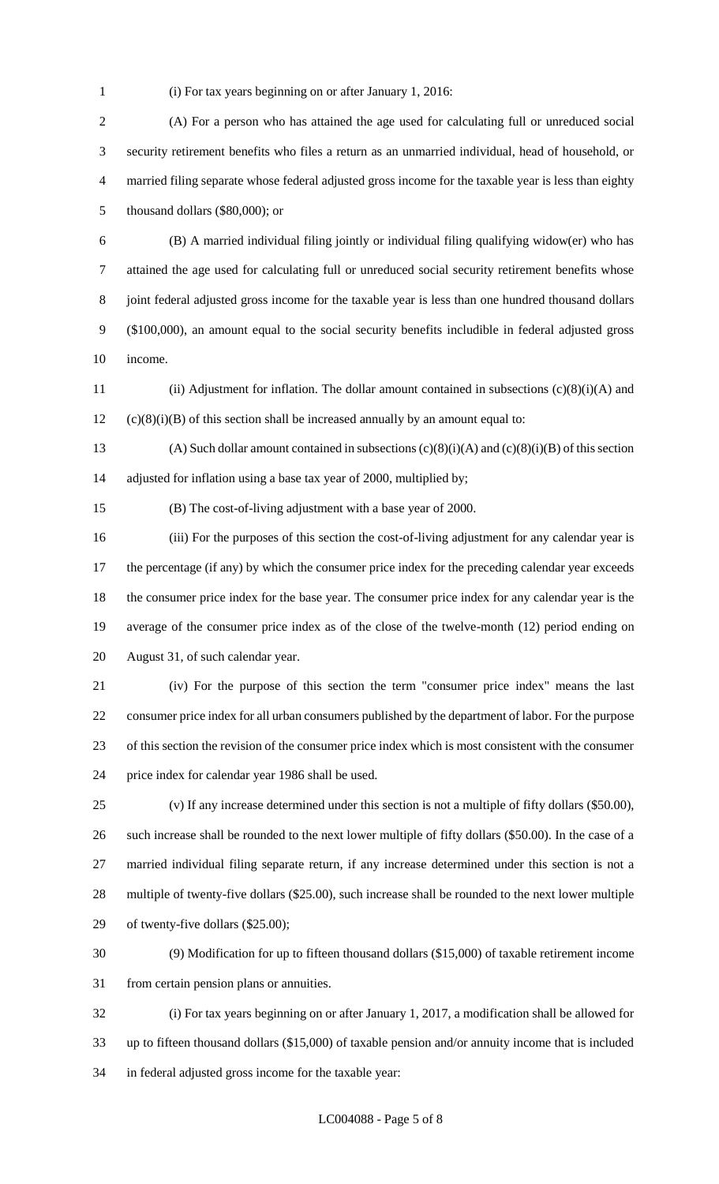(i) For tax years beginning on or after January 1, 2016:

 (A) For a person who has attained the age used for calculating full or unreduced social security retirement benefits who files a return as an unmarried individual, head of household, or married filing separate whose federal adjusted gross income for the taxable year is less than eighty thousand dollars (\$80,000); or

 (B) A married individual filing jointly or individual filing qualifying widow(er) who has attained the age used for calculating full or unreduced social security retirement benefits whose joint federal adjusted gross income for the taxable year is less than one hundred thousand dollars (\$100,000), an amount equal to the social security benefits includible in federal adjusted gross income.

 (ii) Adjustment for inflation. The dollar amount contained in subsections (c)(8)(i)(A) and (c)(8)(i)(B) of this section shall be increased annually by an amount equal to:

13 (A) Such dollar amount contained in subsections  $(c)(8)(i)(A)$  and  $(c)(8)(i)(B)$  of this section adjusted for inflation using a base tax year of 2000, multiplied by;

(B) The cost-of-living adjustment with a base year of 2000.

 (iii) For the purposes of this section the cost-of-living adjustment for any calendar year is 17 the percentage (if any) by which the consumer price index for the preceding calendar year exceeds the consumer price index for the base year. The consumer price index for any calendar year is the average of the consumer price index as of the close of the twelve-month (12) period ending on August 31, of such calendar year.

 (iv) For the purpose of this section the term "consumer price index" means the last consumer price index for all urban consumers published by the department of labor. For the purpose of this section the revision of the consumer price index which is most consistent with the consumer price index for calendar year 1986 shall be used.

 (v) If any increase determined under this section is not a multiple of fifty dollars (\$50.00), such increase shall be rounded to the next lower multiple of fifty dollars (\$50.00). In the case of a married individual filing separate return, if any increase determined under this section is not a multiple of twenty-five dollars (\$25.00), such increase shall be rounded to the next lower multiple of twenty-five dollars (\$25.00);

 (9) Modification for up to fifteen thousand dollars (\$15,000) of taxable retirement income from certain pension plans or annuities.

 (i) For tax years beginning on or after January 1, 2017, a modification shall be allowed for up to fifteen thousand dollars (\$15,000) of taxable pension and/or annuity income that is included in federal adjusted gross income for the taxable year: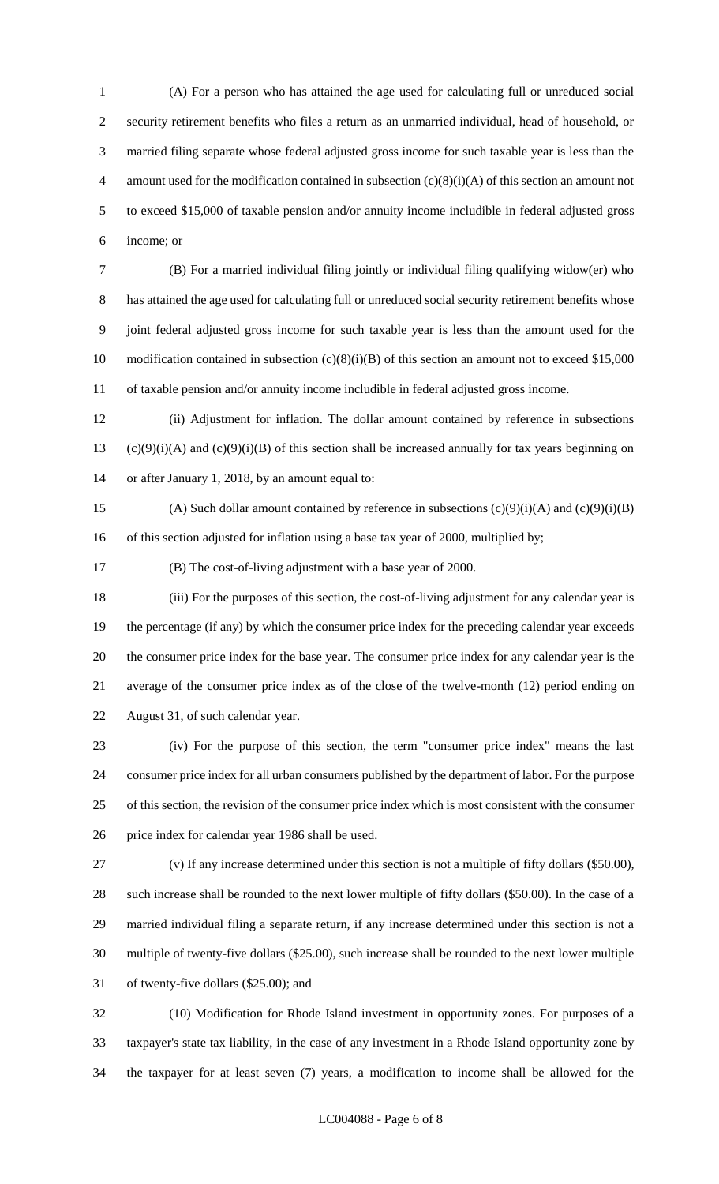(A) For a person who has attained the age used for calculating full or unreduced social security retirement benefits who files a return as an unmarried individual, head of household, or married filing separate whose federal adjusted gross income for such taxable year is less than the 4 amount used for the modification contained in subsection  $(c)(8)(i)(A)$  of this section an amount not to exceed \$15,000 of taxable pension and/or annuity income includible in federal adjusted gross income; or

 (B) For a married individual filing jointly or individual filing qualifying widow(er) who has attained the age used for calculating full or unreduced social security retirement benefits whose joint federal adjusted gross income for such taxable year is less than the amount used for the 10 modification contained in subsection (c)(8)(i)(B) of this section an amount not to exceed \$15,000 of taxable pension and/or annuity income includible in federal adjusted gross income.

 (ii) Adjustment for inflation. The dollar amount contained by reference in subsections 13 (c)(9)(i)(A) and (c)(9)(i)(B) of this section shall be increased annually for tax years beginning on or after January 1, 2018, by an amount equal to:

15 (A) Such dollar amount contained by reference in subsections  $(c)(9)(i)(A)$  and  $(c)(9)(i)(B)$ 16 of this section adjusted for inflation using a base tax year of 2000, multiplied by;

(B) The cost-of-living adjustment with a base year of 2000.

 (iii) For the purposes of this section, the cost-of-living adjustment for any calendar year is the percentage (if any) by which the consumer price index for the preceding calendar year exceeds the consumer price index for the base year. The consumer price index for any calendar year is the average of the consumer price index as of the close of the twelve-month (12) period ending on August 31, of such calendar year.

 (iv) For the purpose of this section, the term "consumer price index" means the last consumer price index for all urban consumers published by the department of labor. For the purpose of this section, the revision of the consumer price index which is most consistent with the consumer price index for calendar year 1986 shall be used.

 (v) If any increase determined under this section is not a multiple of fifty dollars (\$50.00), such increase shall be rounded to the next lower multiple of fifty dollars (\$50.00). In the case of a married individual filing a separate return, if any increase determined under this section is not a multiple of twenty-five dollars (\$25.00), such increase shall be rounded to the next lower multiple of twenty-five dollars (\$25.00); and

 (10) Modification for Rhode Island investment in opportunity zones. For purposes of a taxpayer's state tax liability, in the case of any investment in a Rhode Island opportunity zone by the taxpayer for at least seven (7) years, a modification to income shall be allowed for the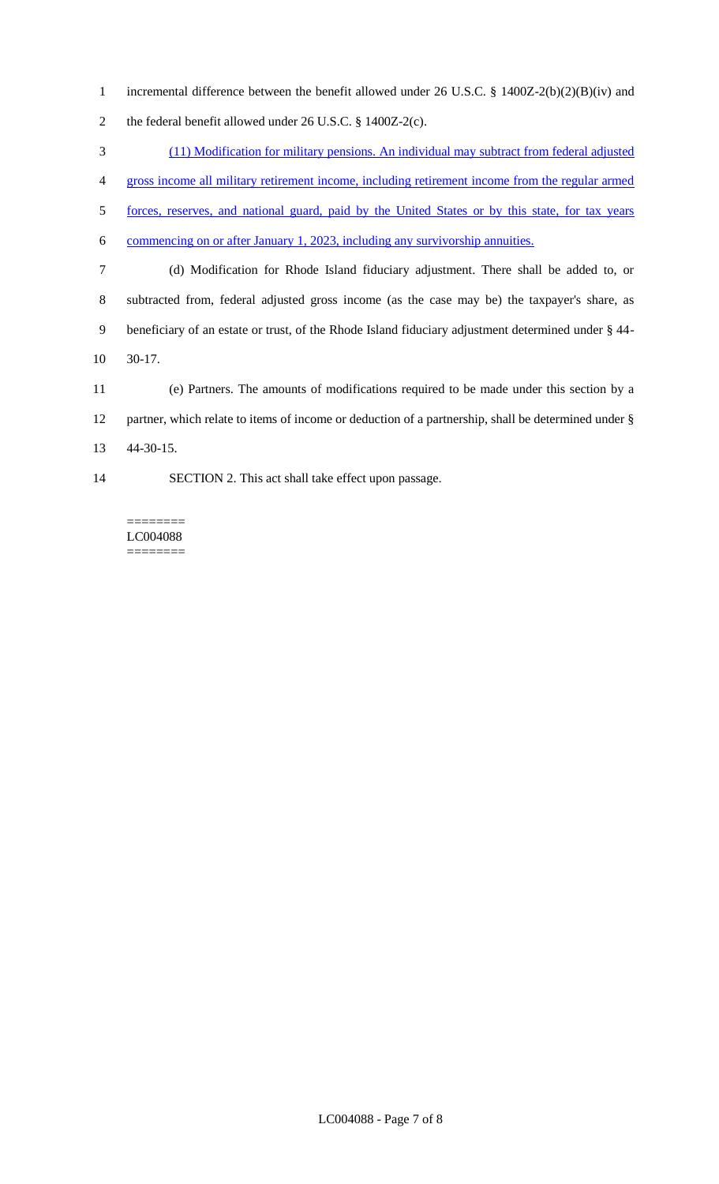incremental difference between the benefit allowed under 26 U.S.C. § 1400Z-2(b)(2)(B)(iv) and the federal benefit allowed under 26 U.S.C. § 1400Z-2(c).

 (11) Modification for military pensions. An individual may subtract from federal adjusted gross income all military retirement income, including retirement income from the regular armed forces, reserves, and national guard, paid by the United States or by this state, for tax years commencing on or after January 1, 2023, including any survivorship annuities. (d) Modification for Rhode Island fiduciary adjustment. There shall be added to, or subtracted from, federal adjusted gross income (as the case may be) the taxpayer's share, as beneficiary of an estate or trust, of the Rhode Island fiduciary adjustment determined under § 44- 30-17.

 (e) Partners. The amounts of modifications required to be made under this section by a partner, which relate to items of income or deduction of a partnership, shall be determined under § 44-30-15.

SECTION 2. This act shall take effect upon passage.

======== LC004088 ========